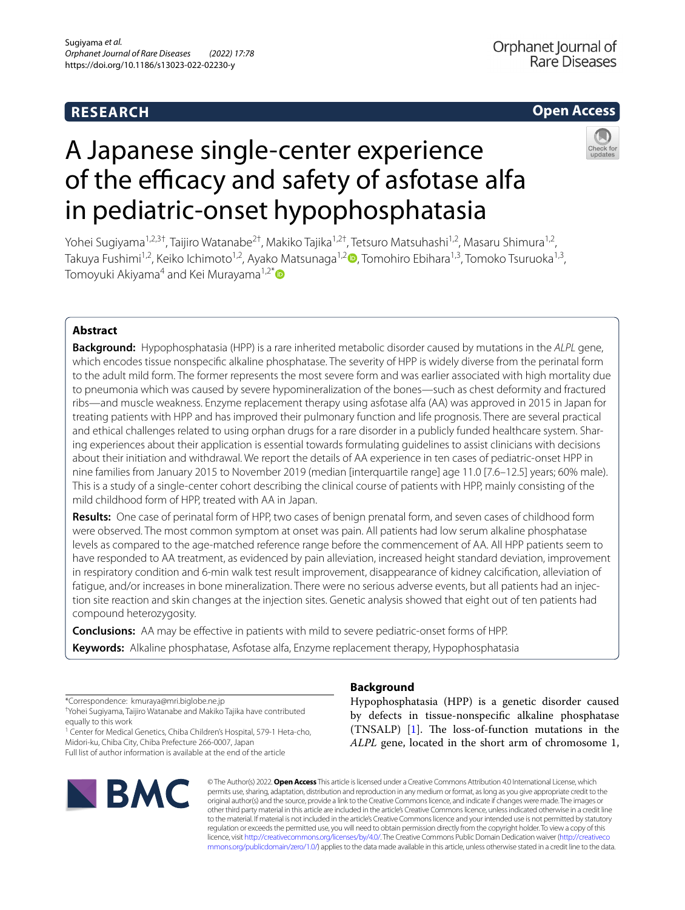# **RESEARCH**

# **Open Access**

# A Japanese single-center experience of the efficacy and safety of asfotase alfa in pediatric-onset hypophosphatasia

Yohei Sugiyama<sup>1,2,3†</sup>, Taijiro Watanabe<sup>2†</sup>, Makiko Tajika<sup>1,2†</sup>, Tetsuro Matsuhashi<sup>1,2</sup>, Masaru Shimura<sup>1,2</sup>, Takuya Fushimi<sup>1,2</sup>[,](https://orcid.org/0000-0003-3316-8400) Keiko Ichimoto<sup>1,2</sup>, Ayako Matsunaga<sup>1,2</sup> $\bullet$ , Tomohiro Ebihara<sup>1,3</sup>, Tomoko Tsuruoka<sup>1,3</sup>, Tomoyuki Akiyama<sup>4</sup> and Kei Murayama<sup>1,2[\\*](http://orcid.org/0000-0002-3923-8636)</sup>

# **Abstract**

**Background:** Hypophosphatasia (HPP) is a rare inherited metabolic disorder caused by mutations in the *ALPL* gene, which encodes tissue nonspecifc alkaline phosphatase. The severity of HPP is widely diverse from the perinatal form to the adult mild form. The former represents the most severe form and was earlier associated with high mortality due to pneumonia which was caused by severe hypomineralization of the bones—such as chest deformity and fractured ribs—and muscle weakness. Enzyme replacement therapy using asfotase alfa (AA) was approved in 2015 in Japan for treating patients with HPP and has improved their pulmonary function and life prognosis. There are several practical and ethical challenges related to using orphan drugs for a rare disorder in a publicly funded healthcare system. Sharing experiences about their application is essential towards formulating guidelines to assist clinicians with decisions about their initiation and withdrawal. We report the details of AA experience in ten cases of pediatric-onset HPP in nine families from January 2015 to November 2019 (median [interquartile range] age 11.0 [7.6–12.5] years; 60% male). This is a study of a single-center cohort describing the clinical course of patients with HPP, mainly consisting of the mild childhood form of HPP, treated with AA in Japan.

**Results:** One case of perinatal form of HPP, two cases of benign prenatal form, and seven cases of childhood form were observed. The most common symptom at onset was pain. All patients had low serum alkaline phosphatase levels as compared to the age-matched reference range before the commencement of AA. All HPP patients seem to have responded to AA treatment, as evidenced by pain alleviation, increased height standard deviation, improvement in respiratory condition and 6-min walk test result improvement, disappearance of kidney calcifcation, alleviation of fatigue, and/or increases in bone mineralization. There were no serious adverse events, but all patients had an injection site reaction and skin changes at the injection sites. Genetic analysis showed that eight out of ten patients had compound heterozygosity.

**Conclusions:** AA may be efective in patients with mild to severe pediatric-onset forms of HPP. **Keywords:** Alkaline phosphatase, Asfotase alfa, Enzyme replacement therapy, Hypophosphatasia

\*Correspondence: kmuraya@mri.biglobe.ne.jp

† Yohei Sugiyama, Taijiro Watanabe and Makiko Tajika have contributed equally to this work

<sup>1</sup> Center for Medical Genetics, Chiba Children's Hospital, 579-1 Heta-cho, Midori-ku, Chiba City, Chiba Prefecture 266-0007, Japan Full list of author information is available at the end of the article



# **Background**

Hypophosphatasia (HPP) is a genetic disorder caused by defects in tissue-nonspecifc alkaline phosphatase  $(TNSALP)$  [\[1](#page-8-0)]. The loss-of-function mutations in the *ALPL* gene, located in the short arm of chromosome 1,

© The Author(s) 2022. **Open Access** This article is licensed under a Creative Commons Attribution 4.0 International License, which permits use, sharing, adaptation, distribution and reproduction in any medium or format, as long as you give appropriate credit to the original author(s) and the source, provide a link to the Creative Commons licence, and indicate if changes were made. The images or other third party material in this article are included in the article's Creative Commons licence, unless indicated otherwise in a credit line to the material. If material is not included in the article's Creative Commons licence and your intended use is not permitted by statutory regulation or exceeds the permitted use, you will need to obtain permission directly from the copyright holder. To view a copy of this licence, visit [http://creativecommons.org/licenses/by/4.0/.](http://creativecommons.org/licenses/by/4.0/) The Creative Commons Public Domain Dedication waiver ([http://creativeco](http://creativecommons.org/publicdomain/zero/1.0/) [mmons.org/publicdomain/zero/1.0/](http://creativecommons.org/publicdomain/zero/1.0/)) applies to the data made available in this article, unless otherwise stated in a credit line to the data.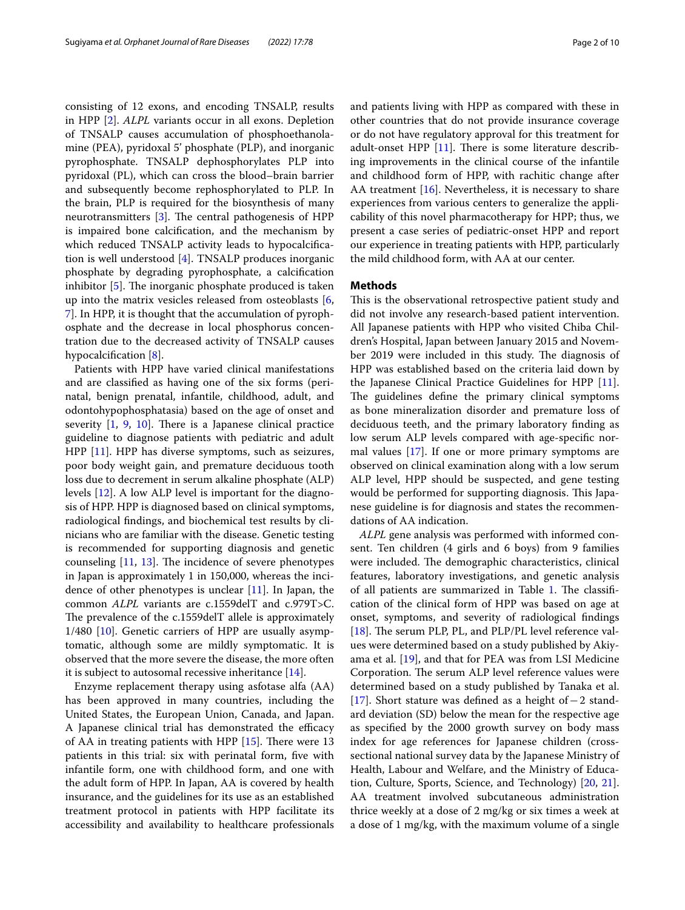consisting of 12 exons, and encoding TNSALP, results in HPP [\[2](#page-8-1)]. *ALPL* variants occur in all exons. Depletion of TNSALP causes accumulation of phosphoethanolamine (PEA), pyridoxal 5' phosphate (PLP), and inorganic pyrophosphate. TNSALP dephosphorylates PLP into pyridoxal (PL), which can cross the blood–brain barrier and subsequently become rephosphorylated to PLP. In the brain, PLP is required for the biosynthesis of many neurotransmitters  $[3]$  $[3]$ . The central pathogenesis of HPP is impaired bone calcifcation, and the mechanism by which reduced TNSALP activity leads to hypocalcification is well understood [[4\]](#page-8-3). TNSALP produces inorganic phosphate by degrading pyrophosphate, a calcifcation inhibitor  $[5]$  $[5]$ . The inorganic phosphate produced is taken up into the matrix vesicles released from osteoblasts [\[6](#page-8-5), [7\]](#page-8-6). In HPP, it is thought that the accumulation of pyrophosphate and the decrease in local phosphorus concentration due to the decreased activity of TNSALP causes hypocalcification [\[8](#page-8-7)].

Patients with HPP have varied clinical manifestations and are classifed as having one of the six forms (perinatal, benign prenatal, infantile, childhood, adult, and odontohypophosphatasia) based on the age of onset and severity  $[1, 9, 10]$  $[1, 9, 10]$  $[1, 9, 10]$  $[1, 9, 10]$  $[1, 9, 10]$  $[1, 9, 10]$  $[1, 9, 10]$ . There is a Japanese clinical practice guideline to diagnose patients with pediatric and adult HPP [\[11\]](#page-8-10). HPP has diverse symptoms, such as seizures, poor body weight gain, and premature deciduous tooth loss due to decrement in serum alkaline phosphate (ALP) levels [\[12](#page-8-11)]. A low ALP level is important for the diagnosis of HPP. HPP is diagnosed based on clinical symptoms, radiological fndings, and biochemical test results by clinicians who are familiar with the disease. Genetic testing is recommended for supporting diagnosis and genetic counseling  $[11, 13]$  $[11, 13]$  $[11, 13]$  $[11, 13]$ . The incidence of severe phenotypes in Japan is approximately 1 in 150,000, whereas the incidence of other phenotypes is unclear [\[11](#page-8-10)]. In Japan, the common *ALPL* variants are c.1559delT and c.979T>C. The prevalence of the c.1559delT allele is approximately 1/480 [[10\]](#page-8-9). Genetic carriers of HPP are usually asymptomatic, although some are mildly symptomatic. It is observed that the more severe the disease, the more often it is subject to autosomal recessive inheritance [\[14\]](#page-8-13).

Enzyme replacement therapy using asfotase alfa (AA) has been approved in many countries, including the United States, the European Union, Canada, and Japan. A Japanese clinical trial has demonstrated the efficacy of AA in treating patients with HPP  $[15]$ . There were 13 patients in this trial: six with perinatal form, fve with infantile form, one with childhood form, and one with the adult form of HPP. In Japan, AA is covered by health insurance, and the guidelines for its use as an established treatment protocol in patients with HPP facilitate its accessibility and availability to healthcare professionals and patients living with HPP as compared with these in other countries that do not provide insurance coverage or do not have regulatory approval for this treatment for adult-onset HPP  $[11]$  $[11]$ . There is some literature describing improvements in the clinical course of the infantile and childhood form of HPP, with rachitic change after AA treatment  $[16]$  $[16]$ . Nevertheless, it is necessary to share experiences from various centers to generalize the applicability of this novel pharmacotherapy for HPP; thus, we present a case series of pediatric-onset HPP and report our experience in treating patients with HPP, particularly the mild childhood form, with AA at our center.

#### **Methods**

This is the observational retrospective patient study and did not involve any research-based patient intervention. All Japanese patients with HPP who visited Chiba Children's Hospital, Japan between January 2015 and November 2019 were included in this study. The diagnosis of HPP was established based on the criteria laid down by the Japanese Clinical Practice Guidelines for HPP [\[11](#page-8-10)]. The guidelines define the primary clinical symptoms as bone mineralization disorder and premature loss of deciduous teeth, and the primary laboratory fnding as low serum ALP levels compared with age-specifc normal values [\[17](#page-8-16)]. If one or more primary symptoms are observed on clinical examination along with a low serum ALP level, HPP should be suspected, and gene testing would be performed for supporting diagnosis. This Japanese guideline is for diagnosis and states the recommendations of AA indication.

*ALPL* gene analysis was performed with informed consent. Ten children (4 girls and 6 boys) from 9 families were included. The demographic characteristics, clinical features, laboratory investigations, and genetic analysis of all patients are summarized in Table [1](#page-2-0). The classification of the clinical form of HPP was based on age at onset, symptoms, and severity of radiological fndings [[18\]](#page-8-17). The serum PLP, PL, and PLP/PL level reference values were determined based on a study published by Akiyama et al. [[19\]](#page-8-18), and that for PEA was from LSI Medicine Corporation. The serum ALP level reference values were determined based on a study published by Tanaka et al. [[17\]](#page-8-16). Short stature was defned as a height of−2 standard deviation (SD) below the mean for the respective age as specifed by the 2000 growth survey on body mass index for age references for Japanese children (crosssectional national survey data by the Japanese Ministry of Health, Labour and Welfare, and the Ministry of Education, Culture, Sports, Science, and Technology) [[20,](#page-8-19) [21](#page-8-20)]. AA treatment involved subcutaneous administration thrice weekly at a dose of 2 mg/kg or six times a week at a dose of 1 mg/kg, with the maximum volume of a single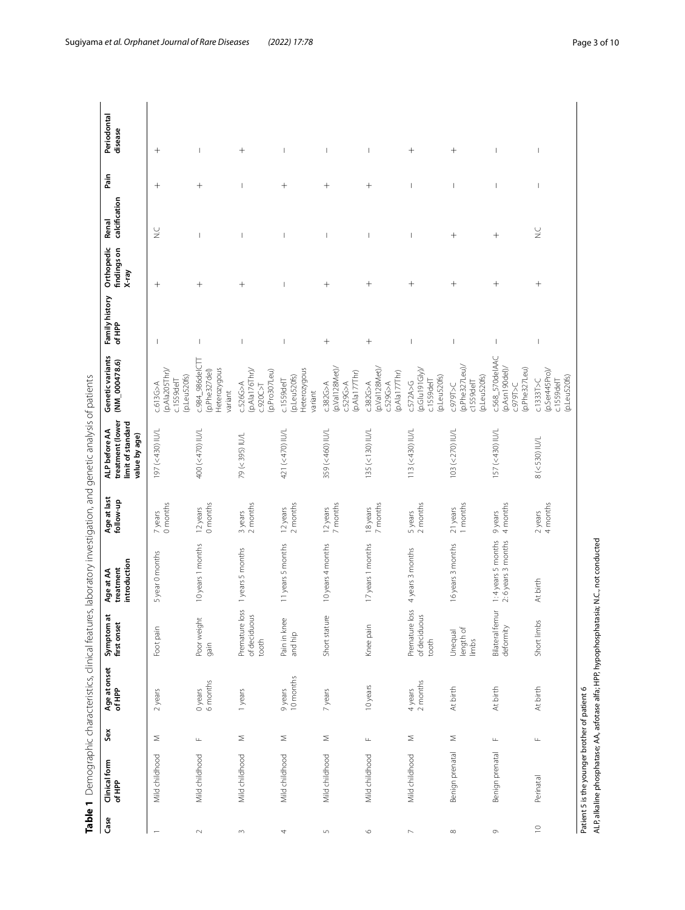<span id="page-2-0"></span>

| $\frac{1}{2}$<br>I<br>l                                                      |  |
|------------------------------------------------------------------------------|--|
|                                                                              |  |
| S<br>S                                                                       |  |
| ミソコラ うう<br>$\ddot{\zeta}$                                                    |  |
|                                                                              |  |
|                                                                              |  |
| " ^ IT3   17 丿 I J J J J J J J J T J I IT3 ' I J J J J J J J J J J J J J J J |  |
|                                                                              |  |
|                                                                              |  |
|                                                                              |  |
|                                                                              |  |
|                                                                              |  |
|                                                                              |  |
| ă.                                                                           |  |
| Ś                                                                            |  |
|                                                                              |  |
| $\frac{1}{\epsilon}$                                                         |  |
|                                                                              |  |
|                                                                              |  |
|                                                                              |  |
|                                                                              |  |
|                                                                              |  |
|                                                                              |  |
|                                                                              |  |
|                                                                              |  |
|                                                                              |  |
|                                                                              |  |
|                                                                              |  |
|                                                                              |  |
|                                                                              |  |
|                                                                              |  |
|                                                                              |  |
|                                                                              |  |
|                                                                              |  |
| inical features, laboratory<br>I                                             |  |
|                                                                              |  |
|                                                                              |  |
|                                                                              |  |
| ラミュニ                                                                         |  |
|                                                                              |  |
|                                                                              |  |
|                                                                              |  |
|                                                                              |  |
|                                                                              |  |
| ラッソコ ラーフ ノミート                                                                |  |
| ř,                                                                           |  |
|                                                                              |  |
| とうこう                                                                         |  |
|                                                                              |  |
| $\mathcal{L}$                                                                |  |
| $\blacksquare$ Demogr                                                        |  |

| Case                     | Clinical form<br>of HPP                       | Sex              | Age at onset<br>of HPP  | ੱਕ<br>Symptom a<br>first onset               | introduction<br>treatment<br>Age at AA                                                   | Age at last<br>follow-up | treatment (lower<br>limit of standard<br>ALP before AA<br>value by age) | Genetic variants<br>$(NM_{000478.6)$                               | Family history<br>of HPP | Orthopedic<br>findings on<br>$X$ -ray | calcification<br>Renal               | Pain         | Periodontal<br>disease   |
|--------------------------|-----------------------------------------------|------------------|-------------------------|----------------------------------------------|------------------------------------------------------------------------------------------|--------------------------|-------------------------------------------------------------------------|--------------------------------------------------------------------|--------------------------|---------------------------------------|--------------------------------------|--------------|--------------------------|
| $\overline{\phantom{m}}$ | Mild childhood                                | Σ                | 2 years                 | Foot pain                                    | 5 year 0 months                                                                          | 0 months<br>7 years      | 197 (<430) IU/L                                                         | (p.Ala205Thr)/<br>(p.Leu520fs)<br>$c.1559$ delT<br>c.613G>A        | I                        | $^{+}$                                | $\frac{C}{Z}$                        | $^+$         | $^{+}$                   |
| $\scriptstyle\sim$       | Mild childhood                                | Щ                | 0 years<br>6 months     | Poor weight<br>gain                          | 10 years 1 months                                                                        | 0 months<br>12 years     | 400 (<470) IU/L                                                         | $C.984$ _986del $C$ TT<br>Heterozygous<br>(p.Phe327del)<br>variant | I                        | $^{+}$                                | I                                    | $^{+}$       | I                        |
| $\sim$                   | Mild childhood                                | $\leq$           | 1 years                 | loss<br>of deciduous<br>Premature I<br>tooth | 1 years 5 months                                                                         | $\frac{3}{2}$ years      | 79 (<395) IU/L                                                          | (p.Ala176Thr)/<br>(p.Pro307Leu)<br>c.526G>A<br>C.920C > T          | $\overline{\phantom{a}}$ | $^{+}$                                |                                      |              | $^{+}$                   |
| $\boldsymbol{4}$         | Mild childhood                                | Σ                | 10 months<br>9 years    | Pain in knee<br>and hip                      | 11 years 5 months                                                                        | 2 months<br>12 years     | 421 (<470) IU/L                                                         | Heterozygous<br>$($ p. Leu $520$ fs)<br>c.1559delT<br>variant      | I                        |                                       |                                      | $^{+}$       | l.                       |
| $\mathsf{L}\cap$         | Mild childhood                                | Σ                | 7 years                 | Short stature                                | 10 years 4 months                                                                        | 7 months<br>12 years     | 359 (<460) IU/L                                                         | (p.Val128Met)/<br>(p.Ala177Thr)<br>c.529G>A<br>c.382G>A            | $^+$                     | $^+$                                  | I                                    | $^+$         | т                        |
| $\circ$                  | Mild childhood                                | $\sqcup$         | 10 years                | Knee pain                                    | 17 years 1 months                                                                        | 7 months<br>18 years     | 135 (<130) IU/L                                                         | (p.Val128Met)/<br>(p.Ala177Thr)<br>c.382G>A<br>C.529G>A            | $^{+}$                   | $^{+}$                                | $\overline{\phantom{a}}$             | $^{+}$       | $\overline{\phantom{a}}$ |
| $\mathord{\sim}$         | Mild childhood                                | Σ                | $4$ years<br>$2$ months | loss<br>of deciduous<br>Premature<br>tooth   | 4 years 3 months                                                                         | 2 months<br>5 years      | 113 (<430) IU/L                                                         | (p.Glu191Gly)/<br>(p.Leu520fs)<br>c.572A>6<br>c.1559delT           | $\overline{\phantom{a}}$ | $^{+}$                                | $\overline{\phantom{a}}$             | -1           | $^{+}$                   |
|                          | Benign prenatal                               | $\leq$           | At birth                | length of<br>Unequal<br>limbs                | 16 years 3 months                                                                        | 1 months<br>21 years     | 103 (<270) IU/L                                                         | (p.Phe327Leu)/<br>(p.Leu520fs)<br>c1559delT<br>C979T>C             | I                        | $^{+}$                                | $^{+}$                               |              | $^{+}$                   |
| $\circ$                  | Benign prenatal                               | $\sqcup$         | At birth                | Bilateral femur<br>deformity                 | 1:4 years 5 months<br>2:6 years 3 months                                                 | 4 months<br>9 years      | 157 (<430) IU/L                                                         | c.568_570delAAC<br>(p.Phe327Leu)<br>(p.Asn190del)<br>C.979T>CC     | J                        | $^{+}$                                | $^{+}$                               | I            | П                        |
| $\supseteq$              | Perinatal                                     | $\sqcup\!\sqcup$ | At birth                | Short limbs                                  | At birth                                                                                 | 4 months<br>2 years      | 8 (<530) IU/L                                                           | (pSer445Pro)<br>(p.Leu520fs)<br>c.1333T > C<br>c.1559delT          | $\overline{\phantom{a}}$ | $^{+}$                                | $\stackrel{\cup}{\scriptstyle \sim}$ | $\mathbf{I}$ | $\overline{\phantom{a}}$ |
|                          | Patient 5 is the younger brother of patient 6 |                  |                         |                                              | ALP, alkaline phosphatase; AA, asfotase alfa; HPP, hypophosphatasia; N.C., not conducted |                          |                                                                         |                                                                    |                          |                                       |                                      |              |                          |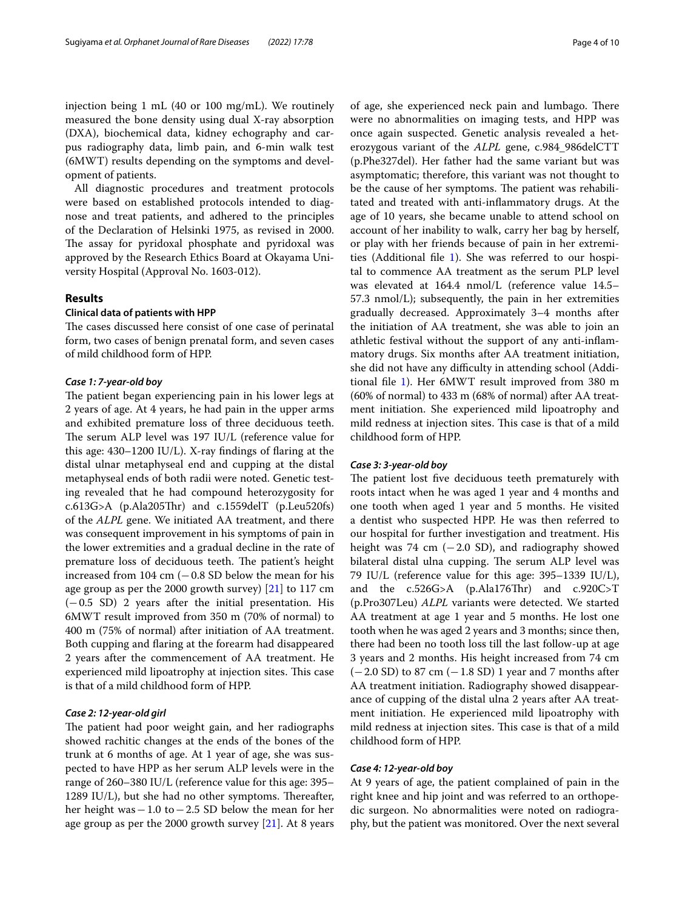injection being 1 mL (40 or 100 mg/mL). We routinely measured the bone density using dual X-ray absorption (DXA), biochemical data, kidney echography and carpus radiography data, limb pain, and 6-min walk test (6MWT) results depending on the symptoms and development of patients.

All diagnostic procedures and treatment protocols were based on established protocols intended to diagnose and treat patients, and adhered to the principles of the Declaration of Helsinki 1975, as revised in 2000. The assay for pyridoxal phosphate and pyridoxal was approved by the Research Ethics Board at Okayama University Hospital (Approval No. 1603-012).

#### **Results**

#### **Clinical data of patients with HPP**

The cases discussed here consist of one case of perinatal form, two cases of benign prenatal form, and seven cases of mild childhood form of HPP.

#### *Case 1: 7‑year‑old boy*

The patient began experiencing pain in his lower legs at 2 years of age. At 4 years, he had pain in the upper arms and exhibited premature loss of three deciduous teeth. The serum ALP level was 197 IU/L (reference value for this age: 430–1200 IU/L). X-ray fndings of faring at the distal ulnar metaphyseal end and cupping at the distal metaphyseal ends of both radii were noted. Genetic testing revealed that he had compound heterozygosity for c.613G>A (p.Ala205Thr) and c.1559delT (p.Leu520fs) of the *ALPL* gene. We initiated AA treatment, and there was consequent improvement in his symptoms of pain in the lower extremities and a gradual decline in the rate of premature loss of deciduous teeth. The patient's height increased from 104 cm  $(-0.8 SD)$  below the mean for his age group as per the 2000 growth survey) [[21](#page-8-20)] to 117 cm (−0.5 SD) 2 years after the initial presentation. His 6MWT result improved from 350 m (70% of normal) to 400 m (75% of normal) after initiation of AA treatment. Both cupping and faring at the forearm had disappeared 2 years after the commencement of AA treatment. He experienced mild lipoatrophy at injection sites. This case is that of a mild childhood form of HPP.

### *Case 2: 12‑year‑old girl*

The patient had poor weight gain, and her radiographs showed rachitic changes at the ends of the bones of the trunk at 6 months of age. At 1 year of age, she was suspected to have HPP as her serum ALP levels were in the range of 260–380 IU/L (reference value for this age: 395– 1289 IU/L), but she had no other symptoms. Thereafter, her height was−1.0 to−2.5 SD below the mean for her age group as per the 2000 growth survey [\[21\]](#page-8-20). At 8 years of age, she experienced neck pain and lumbago. There were no abnormalities on imaging tests, and HPP was once again suspected. Genetic analysis revealed a heterozygous variant of the *ALPL* gene, c.984\_986delCTT (p.Phe327del). Her father had the same variant but was asymptomatic; therefore, this variant was not thought to be the cause of her symptoms. The patient was rehabilitated and treated with anti-infammatory drugs. At the age of 10 years, she became unable to attend school on account of her inability to walk, carry her bag by herself, or play with her friends because of pain in her extremities (Additional fle [1\)](#page-7-0). She was referred to our hospital to commence AA treatment as the serum PLP level was elevated at 164.4 nmol/L (reference value 14.5– 57.3 nmol/L); subsequently, the pain in her extremities gradually decreased. Approximately 3–4 months after the initiation of AA treatment, she was able to join an athletic festival without the support of any anti-infammatory drugs. Six months after AA treatment initiation, she did not have any difficulty in attending school (Additional fle [1](#page-7-0)). Her 6MWT result improved from 380 m (60% of normal) to 433 m (68% of normal) after AA treatment initiation. She experienced mild lipoatrophy and mild redness at injection sites. This case is that of a mild childhood form of HPP.

#### *Case 3: 3‑year‑old boy*

The patient lost five deciduous teeth prematurely with roots intact when he was aged 1 year and 4 months and one tooth when aged 1 year and 5 months. He visited a dentist who suspected HPP. He was then referred to our hospital for further investigation and treatment. His height was 74  $cm$  (−2.0 SD), and radiography showed bilateral distal ulna cupping. The serum ALP level was 79 IU/L (reference value for this age: 395–1339 IU/L), and the  $c.526G>A$  (p.Ala176Thr) and  $c.920C>T$ (p.Pro307Leu) *ALPL* variants were detected. We started AA treatment at age 1 year and 5 months. He lost one tooth when he was aged 2 years and 3 months; since then, there had been no tooth loss till the last follow-up at age 3 years and 2 months. His height increased from 74 cm  $(-2.0 SD)$  to 87 cm  $(-1.8 SD)$  1 year and 7 months after AA treatment initiation. Radiography showed disappearance of cupping of the distal ulna 2 years after AA treatment initiation. He experienced mild lipoatrophy with mild redness at injection sites. This case is that of a mild childhood form of HPP.

#### *Case 4: 12‑year‑old boy*

At 9 years of age, the patient complained of pain in the right knee and hip joint and was referred to an orthopedic surgeon. No abnormalities were noted on radiography, but the patient was monitored. Over the next several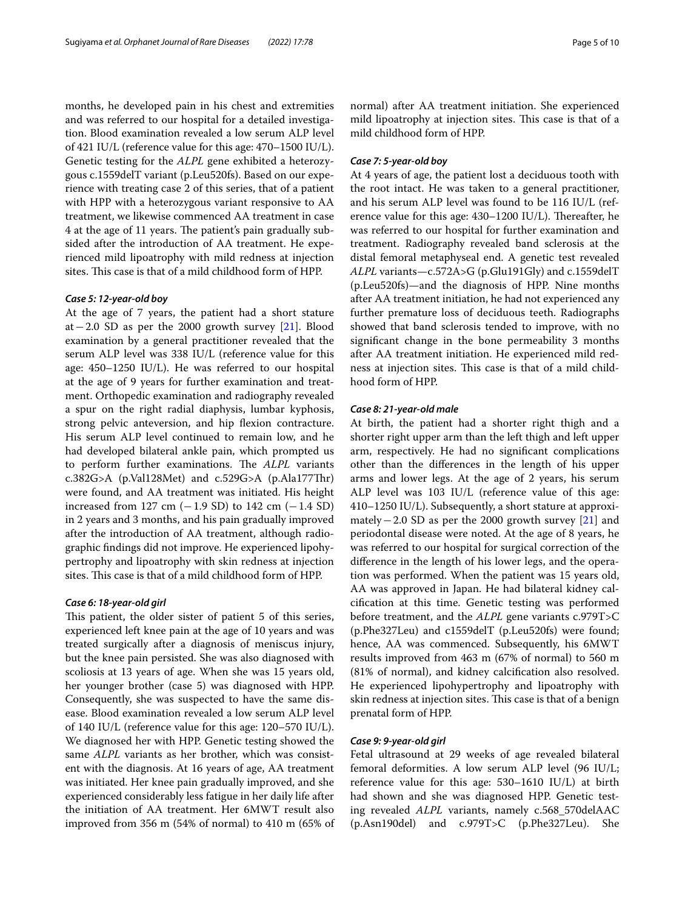months, he developed pain in his chest and extremities and was referred to our hospital for a detailed investigation. Blood examination revealed a low serum ALP level of 421 IU/L (reference value for this age: 470–1500 IU/L). Genetic testing for the *ALPL* gene exhibited a heterozygous c.1559delT variant (p.Leu520fs). Based on our experience with treating case 2 of this series, that of a patient with HPP with a heterozygous variant responsive to AA treatment, we likewise commenced AA treatment in case 4 at the age of 11 years. The patient's pain gradually subsided after the introduction of AA treatment. He experienced mild lipoatrophy with mild redness at injection sites. This case is that of a mild childhood form of HPP.

#### *Case 5: 12‑year‑old boy*

At the age of 7 years, the patient had a short stature at−2.0 SD as per the 2000 growth survey [[21\]](#page-8-20). Blood examination by a general practitioner revealed that the serum ALP level was 338 IU/L (reference value for this age: 450–1250 IU/L). He was referred to our hospital at the age of 9 years for further examination and treatment. Orthopedic examination and radiography revealed a spur on the right radial diaphysis, lumbar kyphosis, strong pelvic anteversion, and hip fexion contracture. His serum ALP level continued to remain low, and he had developed bilateral ankle pain, which prompted us to perform further examinations. The ALPL variants c.382G>A (p.Val128Met) and c.529G>A (p.Ala177Thr) were found, and AA treatment was initiated. His height increased from 127 cm (−1.9 SD) to 142 cm (−1.4 SD) in 2 years and 3 months, and his pain gradually improved after the introduction of AA treatment, although radiographic fndings did not improve. He experienced lipohypertrophy and lipoatrophy with skin redness at injection sites. This case is that of a mild childhood form of HPP.

#### *Case 6: 18‑year‑old girl*

This patient, the older sister of patient 5 of this series, experienced left knee pain at the age of 10 years and was treated surgically after a diagnosis of meniscus injury, but the knee pain persisted. She was also diagnosed with scoliosis at 13 years of age. When she was 15 years old, her younger brother (case 5) was diagnosed with HPP. Consequently, she was suspected to have the same disease. Blood examination revealed a low serum ALP level of 140 IU/L (reference value for this age: 120–570 IU/L). We diagnosed her with HPP. Genetic testing showed the same *ALPL* variants as her brother, which was consistent with the diagnosis. At 16 years of age, AA treatment was initiated. Her knee pain gradually improved, and she experienced considerably less fatigue in her daily life after the initiation of AA treatment. Her 6MWT result also improved from 356 m (54% of normal) to 410 m (65% of normal) after AA treatment initiation. She experienced mild lipoatrophy at injection sites. This case is that of a mild childhood form of HPP.

#### *Case 7: 5‑year‑old boy*

At 4 years of age, the patient lost a deciduous tooth with the root intact. He was taken to a general practitioner, and his serum ALP level was found to be 116 IU/L (reference value for this age: 430–1200 IU/L). Thereafter, he was referred to our hospital for further examination and treatment. Radiography revealed band sclerosis at the distal femoral metaphyseal end. A genetic test revealed *ALPL* variants—c.572A>G (p.Glu191Gly) and c.1559delT (p.Leu520fs)—and the diagnosis of HPP. Nine months after AA treatment initiation, he had not experienced any further premature loss of deciduous teeth. Radiographs showed that band sclerosis tended to improve, with no signifcant change in the bone permeability 3 months after AA treatment initiation. He experienced mild redness at injection sites. This case is that of a mild childhood form of HPP.

#### *Case 8: 21‑year‑old male*

At birth, the patient had a shorter right thigh and a shorter right upper arm than the left thigh and left upper arm, respectively. He had no signifcant complications other than the diferences in the length of his upper arms and lower legs. At the age of 2 years, his serum ALP level was 103 IU/L (reference value of this age: 410–1250 IU/L). Subsequently, a short stature at approximately−2.0 SD as per the 2000 growth survey [\[21\]](#page-8-20) and periodontal disease were noted. At the age of 8 years, he was referred to our hospital for surgical correction of the diference in the length of his lower legs, and the operation was performed. When the patient was 15 years old, AA was approved in Japan. He had bilateral kidney calcifcation at this time. Genetic testing was performed before treatment, and the *ALPL* gene variants c.979T>C (p.Phe327Leu) and c1559delT (p.Leu520fs) were found; hence, AA was commenced. Subsequently, his 6MWT results improved from 463 m (67% of normal) to 560 m (81% of normal), and kidney calcifcation also resolved. He experienced lipohypertrophy and lipoatrophy with skin redness at injection sites. This case is that of a benign prenatal form of HPP.

#### *Case 9: 9‑year‑old girl*

Fetal ultrasound at 29 weeks of age revealed bilateral femoral deformities. A low serum ALP level (96 IU/L; reference value for this age: 530–1610 IU/L) at birth had shown and she was diagnosed HPP. Genetic testing revealed *ALPL* variants, namely c.568\_570delAAC (p.Asn190del) and c.979T>C (p.Phe327Leu). She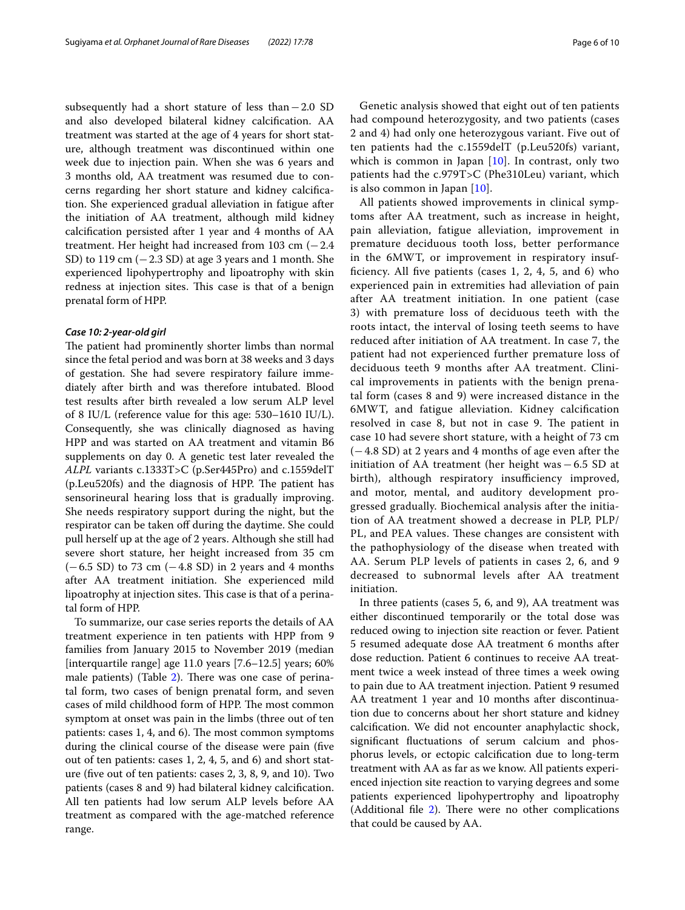subsequently had a short stature of less than−2.0 SD and also developed bilateral kidney calcifcation. AA treatment was started at the age of 4 years for short stature, although treatment was discontinued within one week due to injection pain. When she was 6 years and 3 months old, AA treatment was resumed due to concerns regarding her short stature and kidney calcifcation. She experienced gradual alleviation in fatigue after the initiation of AA treatment, although mild kidney calcifcation persisted after 1 year and 4 months of AA treatment. Her height had increased from 103 cm  $(-2.4)$ SD) to 119 cm  $(-2.3 SD)$  at age 3 years and 1 month. She experienced lipohypertrophy and lipoatrophy with skin redness at injection sites. This case is that of a benign prenatal form of HPP.

#### *Case 10: 2‑year‑old girl*

The patient had prominently shorter limbs than normal since the fetal period and was born at 38 weeks and 3 days of gestation. She had severe respiratory failure immediately after birth and was therefore intubated. Blood test results after birth revealed a low serum ALP level of 8 IU/L (reference value for this age: 530–1610 IU/L). Consequently, she was clinically diagnosed as having HPP and was started on AA treatment and vitamin B6 supplements on day 0. A genetic test later revealed the *ALPL* variants c.1333T>C (p.Ser445Pro) and c.1559delT (p.Leu520fs) and the diagnosis of HPP. The patient has sensorineural hearing loss that is gradually improving. She needs respiratory support during the night, but the respirator can be taken off during the daytime. She could pull herself up at the age of 2 years. Although she still had severe short stature, her height increased from 35 cm  $(-6.5 SD)$  to 73 cm  $(-4.8 SD)$  in 2 years and 4 months after AA treatment initiation. She experienced mild lipoatrophy at injection sites. This case is that of a perinatal form of HPP.

To summarize, our case series reports the details of AA treatment experience in ten patients with HPP from 9 families from January 2015 to November 2019 (median [interquartile range] age 11.0 years [7.6–12.5] years; 60% male patients) (Table [2\)](#page-6-0). There was one case of perinatal form, two cases of benign prenatal form, and seven cases of mild childhood form of HPP. The most common symptom at onset was pain in the limbs (three out of ten patients: cases 1, 4, and 6). The most common symptoms during the clinical course of the disease were pain (fve out of ten patients: cases 1, 2, 4, 5, and 6) and short stature (fve out of ten patients: cases 2, 3, 8, 9, and 10). Two patients (cases 8 and 9) had bilateral kidney calcifcation. All ten patients had low serum ALP levels before AA treatment as compared with the age-matched reference range.

had compound heterozygosity, and two patients (cases 2 and 4) had only one heterozygous variant. Five out of ten patients had the c.1559delT (p.Leu520fs) variant, which is common in Japan [[10\]](#page-8-9). In contrast, only two patients had the c.979T>C (Phe310Leu) variant, which is also common in Japan [[10\]](#page-8-9).

All patients showed improvements in clinical symptoms after AA treatment, such as increase in height, pain alleviation, fatigue alleviation, improvement in premature deciduous tooth loss, better performance in the 6MWT, or improvement in respiratory insuffciency. All fve patients (cases 1, 2, 4, 5, and 6) who experienced pain in extremities had alleviation of pain after AA treatment initiation. In one patient (case 3) with premature loss of deciduous teeth with the roots intact, the interval of losing teeth seems to have reduced after initiation of AA treatment. In case 7, the patient had not experienced further premature loss of deciduous teeth 9 months after AA treatment. Clinical improvements in patients with the benign prenatal form (cases 8 and 9) were increased distance in the 6MWT, and fatigue alleviation. Kidney calcifcation resolved in case 8, but not in case 9. The patient in case 10 had severe short stature, with a height of 73 cm (−4.8 SD) at 2 years and 4 months of age even after the initiation of AA treatment (her height was−6.5 SD at birth), although respiratory insufficiency improved, and motor, mental, and auditory development progressed gradually. Biochemical analysis after the initiation of AA treatment showed a decrease in PLP, PLP/ PL, and PEA values. These changes are consistent with the pathophysiology of the disease when treated with AA. Serum PLP levels of patients in cases 2, 6, and 9 decreased to subnormal levels after AA treatment initiation.

In three patients (cases 5, 6, and 9), AA treatment was either discontinued temporarily or the total dose was reduced owing to injection site reaction or fever. Patient 5 resumed adequate dose AA treatment 6 months after dose reduction. Patient 6 continues to receive AA treatment twice a week instead of three times a week owing to pain due to AA treatment injection. Patient 9 resumed AA treatment 1 year and 10 months after discontinuation due to concerns about her short stature and kidney calcifcation. We did not encounter anaphylactic shock, signifcant fuctuations of serum calcium and phosphorus levels, or ectopic calcifcation due to long-term treatment with AA as far as we know. All patients experienced injection site reaction to varying degrees and some patients experienced lipohypertrophy and lipoatrophy (Additional file  $2$ ). There were no other complications that could be caused by AA.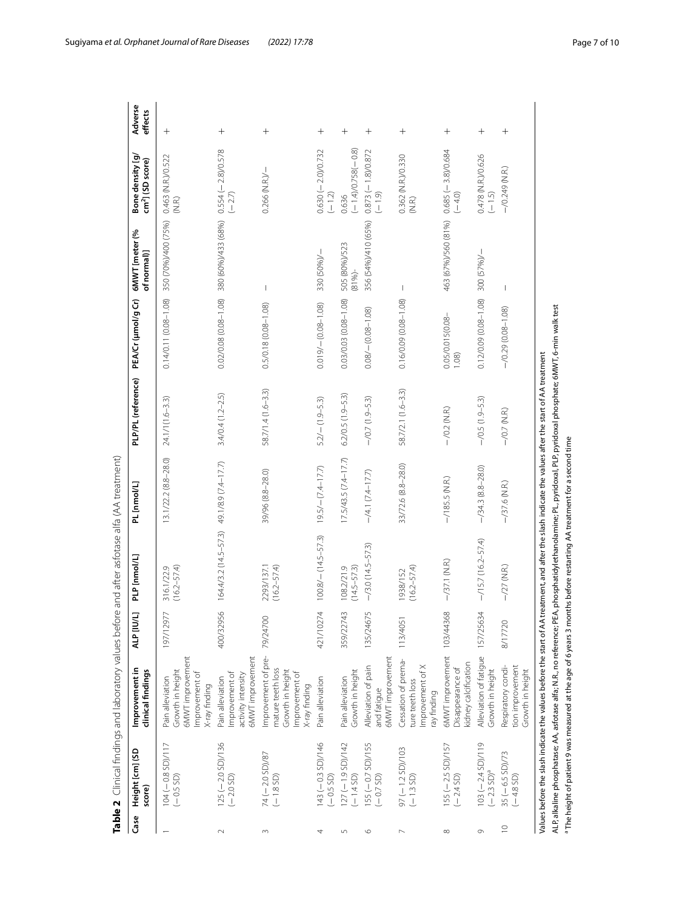| Case           | Height [cm] (SD<br>score)           | Improvement in<br>clinical findings                                                                                                                   | <b>ALP [IU/L]</b> | <b>PLP</b> [nmol/L]                                                                                                                                            | PL [nmol/L]           | PLP/PL (reference)   | PEA/Cr (µmol/g Cr)        | 6MWT [meter (%<br>of normal)]             | Bone density [g/<br>cm <sup>2</sup> ] (SD score) | Adverse<br>effects |
|----------------|-------------------------------------|-------------------------------------------------------------------------------------------------------------------------------------------------------|-------------------|----------------------------------------------------------------------------------------------------------------------------------------------------------------|-----------------------|----------------------|---------------------------|-------------------------------------------|--------------------------------------------------|--------------------|
|                | 104 (-0.8 SD)/117<br>(-0.5 SD)      | 6MWT improvement<br>Growth in height<br>Improvement of<br>Pain alleviation<br>X-ray finding                                                           | 197/12977         | $(16.2 - 57.4)$<br>316.1/22.9                                                                                                                                  | 13.1/22.2 (8.8-28.0)  | 24.1/1(1.6-3.3)      | $0.14/0.11(0.08 - 1.08)$  | 350 (70%)/400 (75%)                       | 0.463 (N.R.)/0.522<br>(N.R.)                     | $^{+}$             |
| $\sim$         | $125 (-2.0 SD)/136$<br>(-2.0 SD)    | <b>SMWT</b> improvement<br>Improvement of<br>activity intensity<br>Pain alleviation                                                                   | 400/32956         | 164.4/3.2 (14.5-57.3) 49.1/8.9 (7.4-17.7)                                                                                                                      |                       | $3.4/0.4(1.2 - 2.5)$ |                           | 0.02/0.08 (0.08-1.08) 380 (60%)/433 (68%) | $0.554(-2.8)/0.578$<br>$(-2.7)$                  | $^{+}$             |
| $\sim$         | 74 (-2.0 SD)/87<br>$(-1.8 SD)$      | Improvement of pre-<br>mature teeth loss<br>Growth in height<br>Improvement of<br>K-ray finding                                                       | 79/24700          | 2293/137.1<br>$(16.2 - 57.4)$                                                                                                                                  | 39/96 (8.8-28.0)      | 58.7/1.4 (1.6-3.3)   | $0.5/0.18(0.08 - 1.08)$   | I                                         | $0.266$ (N.R.)/ $-$                              | $^{+}$             |
|                | $143 (-0.3 SD)/146$<br>$(-0.5 SD)$  | Pain alleviation                                                                                                                                      | 421/10274         | $100.8/-(14.5-57.3)$                                                                                                                                           | $19.5/ (7.4-17.7)$    | $5.2/-(1.9 - 5.3)$   | $0.019/-(0.08-1.08)$      | 330 (50%)/-                               | $0.630(-2.0)/0.732$<br>$(-1.2)$                  | $^+$               |
| $\sqrt{2}$     | $127 (-1.9 SD)/142$<br>(-1.4 SD)    | Growth in height<br>Pain alleviation                                                                                                                  | 359/22743         | $(14.5 - 57.3)$<br>108.2/21.9                                                                                                                                  | $17.5/43.5(7.4-17.7)$ | $6.2/0.5(1.9 - 5.3)$ | 0.03/0.03 (0.08-1.08)     | 505 (80%)/523<br>$(81% -$                 | $(-1.4)/0.758(-0.8)$<br>0.636                    | $^{+}$             |
| $\circ$        | $155 (-0.7 SD)/155$<br>$(-0.7 SD)$  | SMWT improvement<br>Alleviation of pain<br>and fatigue                                                                                                | ي<br>135/2467     | $-$ /3.0 (14.5-57.3)                                                                                                                                           | $-$ /4.1 (7.4-17.7)   | $-$ /0.7 (1.9 – 5.3) | $0.08/-(0.08-1.08)$       | 356 (54%)/410 (65%)                       | $0.873(-1.8)/0.872$<br>$(-1.9)$                  | $\hspace{0.1mm} +$ |
| ∼              | $97 (-1.2 SD)/103$<br>(-1.3 SD)     | Cessation of prema-<br>Improvement of X<br>ture teeth loss<br>ray finding                                                                             | 113/405           | $(16.2 - 57.4)$<br>1938/152                                                                                                                                    | 33/72.6 (8.8-28.0)    | 58.7/2.1 (1.6-3.3)   | $0.16/0.09(0.08 - 1.08)$  | $\overline{\phantom{a}}$                  | 0.362 (N.R.)/0.330<br>(N.R.)                     | $^{+}$             |
| $\infty$       | 155 (– 2.5 SD)/157<br>(– 2.4 SD)    | 6MWT improvement 103/44368<br>kidney calcification<br>Disappearance of                                                                                |                   | $-$ /37.1 (N.R.)                                                                                                                                               | $-$ /185.5 (N.R.)     | $-$ /0.2 (N.R.)      | 0.05/0.015(0.08-<br>1.08) | 463 (67%)/560 (81%)                       | $0.685(-3.8)/0.684$<br>$(-4.0)$                  | $^{+}$             |
| $\circ$        | $103 (-2.4 SD)/119$<br>$(-2.3 SD)a$ | Alleviation of fatigue<br>Growth in height                                                                                                            | 157/25634         | $-$ /15.7 (16.2-57.4)                                                                                                                                          | $-$ /34.3 (8.8-28.0)  | $-$ /0.5 (1.9-5.3)   | $0.12/0.09(0.08 - 1.08)$  | 300 (57%)/-                               | 0.478 (N.R.)/0.626<br>$(-1.5)$                   | $^{+}$             |
| $\overline{C}$ | $35 (-6.5 SD)/73$<br>(-4.8 SD)      | tion improvement<br>Respiratory condi-<br>Growth in height                                                                                            | 8/17720           | $-$ /27 (N.R.)                                                                                                                                                 | $-$ /37.6 (N.R.)      | $-$ /0.7 (N.R.)      | $-$ /0.29 (0.08-1.08)     | $\overline{\phantom{a}}$                  | $-$ /0.249 (N.R.)                                | $^+$               |
|                |                                     | Values before the slash indicate the values before the start of AA treatment, and after the slash indicate the values after the start of AA treatment |                   | ALP alkaline phosphatase; AA, asfotase alfa; N.R., no reference; PEA, phosphatidylethanolamine; PL, pyridoxal, PLP, pyridoxal phosphate; 6MWT, 6-min walk test |                       |                      |                           |                                           |                                                  |                    |

<span id="page-6-0"></span>

<sup>a</sup> The height of patient 9 was measured at the age of 6 years 3 months before restarting AA treatment for a second time  $^{\circ}$  The height of patient 9 was measured at the age of 6 years 3 months before restarting AA treatment for a second time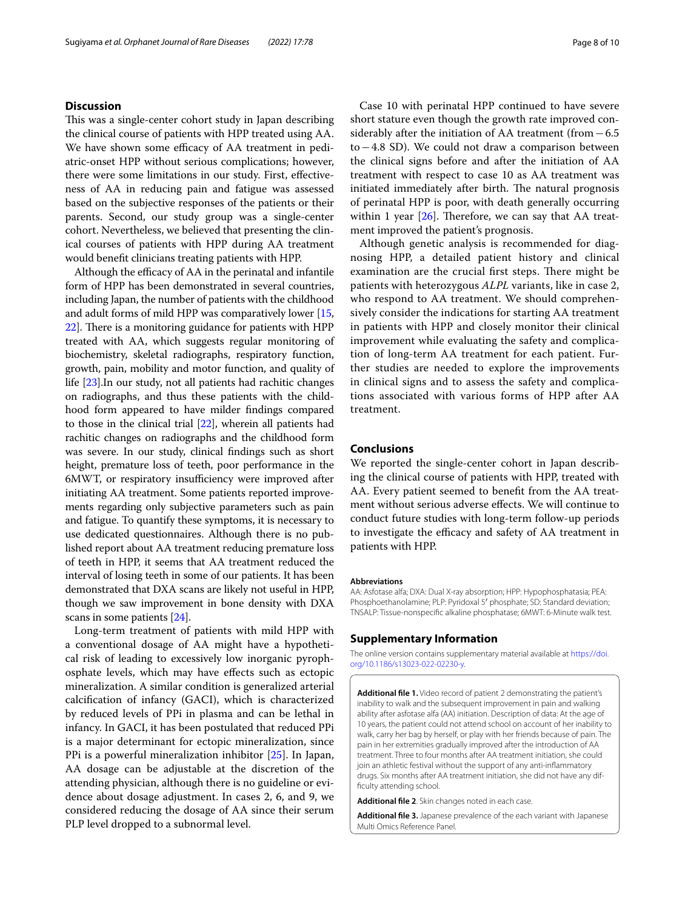#### **Discussion**

This was a single-center cohort study in Japan describing the clinical course of patients with HPP treated using AA. We have shown some efficacy of AA treatment in pediatric-onset HPP without serious complications; however, there were some limitations in our study. First, efectiveness of AA in reducing pain and fatigue was assessed based on the subjective responses of the patients or their parents. Second, our study group was a single-center cohort. Nevertheless, we believed that presenting the clinical courses of patients with HPP during AA treatment would beneft clinicians treating patients with HPP.

Although the efficacy of AA in the perinatal and infantile form of HPP has been demonstrated in several countries, including Japan, the number of patients with the childhood and adult forms of mild HPP was comparatively lower [[15](#page-8-14), [22](#page-8-21)]. There is a monitoring guidance for patients with HPP treated with AA, which suggests regular monitoring of biochemistry, skeletal radiographs, respiratory function, growth, pain, mobility and motor function, and quality of life [[23](#page-8-22)].In our study, not all patients had rachitic changes on radiographs, and thus these patients with the childhood form appeared to have milder fndings compared to those in the clinical trial [\[22](#page-8-21)], wherein all patients had rachitic changes on radiographs and the childhood form was severe. In our study, clinical fndings such as short height, premature loss of teeth, poor performance in the 6MWT, or respiratory insufficiency were improved after initiating AA treatment. Some patients reported improvements regarding only subjective parameters such as pain and fatigue. To quantify these symptoms, it is necessary to use dedicated questionnaires. Although there is no published report about AA treatment reducing premature loss of teeth in HPP, it seems that AA treatment reduced the interval of losing teeth in some of our patients. It has been demonstrated that DXA scans are likely not useful in HPP, though we saw improvement in bone density with DXA scans in some patients [\[24\]](#page-8-23).

Long-term treatment of patients with mild HPP with a conventional dosage of AA might have a hypothetical risk of leading to excessively low inorganic pyrophosphate levels, which may have efects such as ectopic mineralization. A similar condition is generalized arterial calcifcation of infancy (GACI), which is characterized by reduced levels of PPi in plasma and can be lethal in infancy. In GACI, it has been postulated that reduced PPi is a major determinant for ectopic mineralization, since PPi is a powerful mineralization inhibitor [\[25](#page-9-0)]. In Japan, AA dosage can be adjustable at the discretion of the attending physician, although there is no guideline or evidence about dosage adjustment. In cases 2, 6, and 9, we considered reducing the dosage of AA since their serum PLP level dropped to a subnormal level.

Case 10 with perinatal HPP continued to have severe short stature even though the growth rate improved considerably after the initiation of AA treatment (from−6.5 to−4.8 SD). We could not draw a comparison between the clinical signs before and after the initiation of AA treatment with respect to case 10 as AA treatment was initiated immediately after birth. The natural prognosis of perinatal HPP is poor, with death generally occurring within 1 year  $[26]$  $[26]$  $[26]$ . Therefore, we can say that AA treatment improved the patient's prognosis.

Although genetic analysis is recommended for diagnosing HPP, a detailed patient history and clinical examination are the crucial first steps. There might be patients with heterozygous *ALPL* variants, like in case 2, who respond to AA treatment. We should comprehensively consider the indications for starting AA treatment in patients with HPP and closely monitor their clinical improvement while evaluating the safety and complication of long-term AA treatment for each patient. Further studies are needed to explore the improvements in clinical signs and to assess the safety and complications associated with various forms of HPP after AA treatment.

#### **Conclusions**

We reported the single-center cohort in Japan describing the clinical course of patients with HPP, treated with AA. Every patient seemed to beneft from the AA treatment without serious adverse efects. We will continue to conduct future studies with long-term follow-up periods to investigate the efficacy and safety of AA treatment in patients with HPP.

#### **Abbreviations**

AA: Asfotase alfa; DXA: Dual X-ray absorption; HPP: Hypophosphatasia; PEA: Phosphoethanolamine; PLP: Pyridoxal 5′ phosphate; SD: Standard deviation; TNSALP: Tissue-nonspecifc alkaline phosphatase; 6MWT: 6-Minute walk test.

#### **Supplementary Information**

The online version contains supplementary material available at [https://doi.](https://doi.org/10.1186/s13023-022-02230-y) [org/10.1186/s13023-022-02230-y.](https://doi.org/10.1186/s13023-022-02230-y)

<span id="page-7-0"></span>**Additional fle 1.** Video record of patient 2 demonstrating the patient's inability to walk and the subsequent improvement in pain and walking ability after asfotase alfa (AA) initiation. Description of data: At the age of 10 years, the patient could not attend school on account of her inability to walk, carry her bag by herself, or play with her friends because of pain. The pain in her extremities gradually improved after the introduction of AA treatment. Three to four months after AA treatment initiation, she could join an athletic festival without the support of any anti-infammatory drugs. Six months after AA treatment initiation, she did not have any diffculty attending school.

<span id="page-7-1"></span>**Additional fle 2**. Skin changes noted in each case.

**Additional fle 3.** Japanese prevalence of the each variant with Japanese Multi Omics Reference Panel.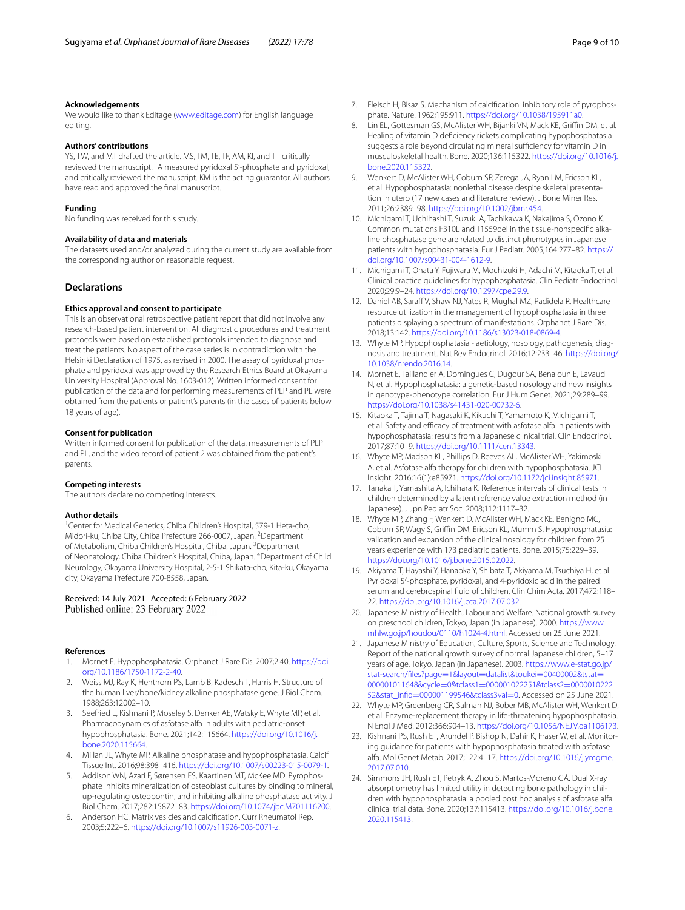#### **Acknowledgements**

We would like to thank Editage ([www.editage.com\)](http://www.editage.com) for English language editing.

#### **Authors' contributions**

YS, TW, and MT drafted the article. MS, TM, TE, TF, AM, KI, and TT critically reviewed the manuscript. TA measured pyridoxal 5'-phosphate and pyridoxal, and critically reviewed the manuscript. KM is the acting guarantor. All authors have read and approved the fnal manuscript.

#### **Funding**

No funding was received for this study.

#### **Availability of data and materials**

The datasets used and/or analyzed during the current study are available from the corresponding author on reasonable request.

#### **Declarations**

#### **Ethics approval and consent to participate**

This is an observational retrospective patient report that did not involve any research-based patient intervention. All diagnostic procedures and treatment protocols were based on established protocols intended to diagnose and treat the patients. No aspect of the case series is in contradiction with the Helsinki Declaration of 1975, as revised in 2000. The assay of pyridoxal phosphate and pyridoxal was approved by the Research Ethics Board at Okayama University Hospital (Approval No. 1603-012). Written informed consent for publication of the data and for performing measurements of PLP and PL were obtained from the patients or patient's parents (in the cases of patients below 18 years of age).

#### **Consent for publication**

Written informed consent for publication of the data, measurements of PLP and PL, and the video record of patient 2 was obtained from the patient's parents.

#### **Competing interests**

The authors declare no competing interests.

#### **Author details**

<sup>1</sup> Center for Medical Genetics, Chiba Children's Hospital, 579-1 Heta-cho, Midori-ku, Chiba City, Chiba Prefecture 266-0007, Japan. <sup>2</sup>Department of Metabolism, Chiba Children's Hospital, Chiba, Japan. <sup>3</sup> Department of Neonatology, Chiba Children's Hospital, Chiba, Japan. <sup>4</sup>Department of Child Neurology, Okayama University Hospital, 2-5-1 Shikata-cho, Kita-ku, Okayama city, Okayama Prefecture 700-8558, Japan.

#### Received: 14 July 2021 Accepted: 6 February 2022 Published online: 23 February 2022

#### **References**

- <span id="page-8-0"></span>1. Mornet E. Hypophosphatasia. Orphanet J Rare Dis. 2007;2:40. [https://doi.](https://doi.org/10.1186/1750-1172-2-40) [org/10.1186/1750-1172-2-40](https://doi.org/10.1186/1750-1172-2-40).
- <span id="page-8-1"></span>2. Weiss MJ, Ray K, Henthorn PS, Lamb B, Kadesch T, Harris H. Structure of the human liver/bone/kidney alkaline phosphatase gene. J Biol Chem. 1988;263:12002–10.
- <span id="page-8-2"></span>3. Seefried L, Kishnani P, Moseley S, Denker AE, Watsky E, Whyte MP, et al. Pharmacodynamics of asfotase alfa in adults with pediatric-onset hypophosphatasia. Bone. 2021;142:115664. [https://doi.org/10.1016/j.](https://doi.org/10.1016/j.bone.2020.115664) [bone.2020.115664.](https://doi.org/10.1016/j.bone.2020.115664)
- <span id="page-8-3"></span>4. Millan JL, Whyte MP. Alkaline phosphatase and hypophosphatasia. Calcif Tissue Int. 2016;98:398–416. [https://doi.org/10.1007/s00223-015-0079-1.](https://doi.org/10.1007/s00223-015-0079-1)
- <span id="page-8-4"></span>5. Addison WN, Azari F, Sørensen ES, Kaartinen MT, McKee MD. Pyrophosphate inhibits mineralization of osteoblast cultures by binding to mineral, up-regulating osteopontin, and inhibiting alkaline phosphatase activity. J Biol Chem. 2017;282:15872–83. [https://doi.org/10.1074/jbc.M701116200.](https://doi.org/10.1074/jbc.M701116200)
- <span id="page-8-5"></span>6. Anderson HC. Matrix vesicles and calcifcation. Curr Rheumatol Rep. 2003;5:222–6. <https://doi.org/10.1007/s11926-003-0071-z>.
- <span id="page-8-6"></span>7. Fleisch H, Bisaz S. Mechanism of calcifcation: inhibitory role of pyrophosphate. Nature. 1962;195:911.<https://doi.org/10.1038/195911a0>.
- <span id="page-8-7"></span>8. Lin EL, Gottesman GS, McAlister WH, Bijanki VN, Mack KE, Griffin DM, et al. Healing of vitamin D defciency rickets complicating hypophosphatasia suggests a role beyond circulating mineral sufficiency for vitamin D in musculoskeletal health. Bone. 2020;136:115322. [https://doi.org/10.1016/j.](https://doi.org/10.1016/j.bone.2020.115322) [bone.2020.115322.](https://doi.org/10.1016/j.bone.2020.115322)
- <span id="page-8-8"></span>9. Wenkert D, McAlister WH, Coburn SP, Zerega JA, Ryan LM, Ericson KL, et al. Hypophosphatasia: nonlethal disease despite skeletal presentation in utero (17 new cases and literature review). J Bone Miner Res. 2011;26:2389–98. [https://doi.org/10.1002/jbmr.454.](https://doi.org/10.1002/jbmr.454)
- <span id="page-8-9"></span>10. Michigami T, Uchihashi T, Suzuki A, Tachikawa K, Nakajima S, Ozono K. Common mutations F310L and T1559del in the tissue-nonspecifc alkaline phosphatase gene are related to distinct phenotypes in Japanese patients with hypophosphatasia. Eur J Pediatr. 2005;164:277–82. [https://](https://doi.org/10.1007/s00431-004-1612-9) [doi.org/10.1007/s00431-004-1612-9](https://doi.org/10.1007/s00431-004-1612-9).
- <span id="page-8-10"></span>11. Michigami T, Ohata Y, Fujiwara M, Mochizuki H, Adachi M, Kitaoka T, et al. Clinical practice guidelines for hypophosphatasia. Clin Pediatr Endocrinol. 2020;29:9–24. <https://doi.org/10.1297/cpe.29.9>.
- <span id="page-8-11"></span>12. Daniel AB, Saraff V, Shaw NJ, Yates R, Mughal MZ, Padidela R. Healthcare resource utilization in the management of hypophosphatasia in three patients displaying a spectrum of manifestations. Orphanet J Rare Dis. 2018;13:142.<https://doi.org/10.1186/s13023-018-0869-4>.
- <span id="page-8-12"></span>13. Whyte MP. Hypophosphatasia - aetiology, nosology, pathogenesis, diagnosis and treatment. Nat Rev Endocrinol. 2016;12:233–46. [https://doi.org/](https://doi.org/10.1038/nrendo.2016.14) [10.1038/nrendo.2016.14.](https://doi.org/10.1038/nrendo.2016.14)
- <span id="page-8-13"></span>14. Mornet E, Taillandier A, Domingues C, Dugour SA, Benaloun E, Lavaud N, et al. Hypophosphatasia: a genetic-based nosology and new insights in genotype-phenotype correlation. Eur J Hum Genet. 2021;29:289–99. <https://doi.org/10.1038/s41431-020-00732-6>.
- <span id="page-8-14"></span>15. Kitaoka T, Tajima T, Nagasaki K, Kikuchi T, Yamamoto K, Michigami T, et al. Safety and efficacy of treatment with asfotase alfa in patients with hypophosphatasia: results from a Japanese clinical trial. Clin Endocrinol. 2017;87:10–9. <https://doi.org/10.1111/cen.13343>.
- <span id="page-8-15"></span>16. Whyte MP, Madson KL, Phillips D, Reeves AL, McAlister WH, Yakimoski A, et al. Asfotase alfa therapy for children with hypophosphatasia. JCI Insight. 2016;16(1):e85971. [https://doi.org/10.1172/jci.insight.85971.](https://doi.org/10.1172/jci.insight.85971)
- <span id="page-8-16"></span>17. Tanaka T, Yamashita A, Ichihara K. Reference intervals of clinical tests in children determined by a latent reference value extraction method (in Japanese). J Jpn Pediatr Soc. 2008;112:1117–32.
- <span id="page-8-17"></span>18. Whyte MP, Zhang F, Wenkert D, McAlister WH, Mack KE, Benigno MC, Coburn SP, Wagy S, Griffin DM, Ericson KL, Mumm S. Hypophosphatasia: validation and expansion of the clinical nosology for children from 25 years experience with 173 pediatric patients. Bone. 2015;75:229–39. [https://doi.org/10.1016/j.bone.2015.02.022.](https://doi.org/10.1016/j.bone.2015.02.022)
- <span id="page-8-18"></span>19. Akiyama T, Hayashi Y, Hanaoka Y, Shibata T, Akiyama M, Tsuchiya H, et al. Pyridoxal 5′-phosphate, pyridoxal, and 4-pyridoxic acid in the paired serum and cerebrospinal fuid of children. Clin Chim Acta. 2017;472:118– 22. [https://doi.org/10.1016/j.cca.2017.07.032.](https://doi.org/10.1016/j.cca.2017.07.032)
- <span id="page-8-19"></span>20. Japanese Ministry of Health, Labour and Welfare. National growth survey on preschool children, Tokyo, Japan (in Japanese). 2000. [https://www.](https://www.mhlw.go.jp/houdou/0110/h1024-4.html) [mhlw.go.jp/houdou/0110/h1024-4.html](https://www.mhlw.go.jp/houdou/0110/h1024-4.html). Accessed on 25 June 2021.
- <span id="page-8-20"></span>21. Japanese Ministry of Education, Culture, Sports, Science and Technology. Report of the national growth survey of normal Japanese children, 5–17 years of age, Tokyo, Japan (in Japanese). 2003. [https://www.e-stat.go.jp/](https://www.e-stat.go.jp/stat-search/files?page=1&layout=datalist&toukei=00400002&tstat=000001011648&cycle=0&tclass1=000001022251&tclass2=000001022252&stat_infid=000001199546&tclass3val=0) [stat-search/fles?page](https://www.e-stat.go.jp/stat-search/files?page=1&layout=datalist&toukei=00400002&tstat=000001011648&cycle=0&tclass1=000001022251&tclass2=000001022252&stat_infid=000001199546&tclass3val=0)=1&layout=datalist&toukei=00400002&tstat= 000001011648&cycle=0&tclass1=[000001022251&tclass2](https://www.e-stat.go.jp/stat-search/files?page=1&layout=datalist&toukei=00400002&tstat=000001011648&cycle=0&tclass1=000001022251&tclass2=000001022252&stat_infid=000001199546&tclass3val=0)=0000010222 52&stat\_infid=[000001199546&tclass3val](https://www.e-stat.go.jp/stat-search/files?page=1&layout=datalist&toukei=00400002&tstat=000001011648&cycle=0&tclass1=000001022251&tclass2=000001022252&stat_infid=000001199546&tclass3val=0)=0. Accessed on 25 June 2021.
- <span id="page-8-21"></span>22. Whyte MP, Greenberg CR, Salman NJ, Bober MB, McAlister WH, Wenkert D, et al. Enzyme-replacement therapy in life-threatening hypophosphatasia. N Engl J Med. 2012;366:904–13. [https://doi.org/10.1056/NEJMoa1106173.](https://doi.org/10.1056/NEJMoa1106173)
- <span id="page-8-22"></span>23. Kishnani PS, Rush ET, Arundel P, Bishop N, Dahir K, Fraser W, et al. Monitoring guidance for patients with hypophosphatasia treated with asfotase alfa. Mol Genet Metab. 2017;122:4–17. [https://doi.org/10.1016/j.ymgme.](https://doi.org/10.1016/j.ymgme.2017.07.010) [2017.07.010](https://doi.org/10.1016/j.ymgme.2017.07.010).
- <span id="page-8-23"></span>24. Simmons JH, Rush ET, Petryk A, Zhou S, Martos-Moreno GÁ. Dual X-ray absorptiometry has limited utility in detecting bone pathology in children with hypophosphatasia: a pooled post hoc analysis of asfotase alfa clinical trial data. Bone. 2020;137:115413. [https://doi.org/10.1016/j.bone.](https://doi.org/10.1016/j.bone.2020.115413) [2020.115413.](https://doi.org/10.1016/j.bone.2020.115413)